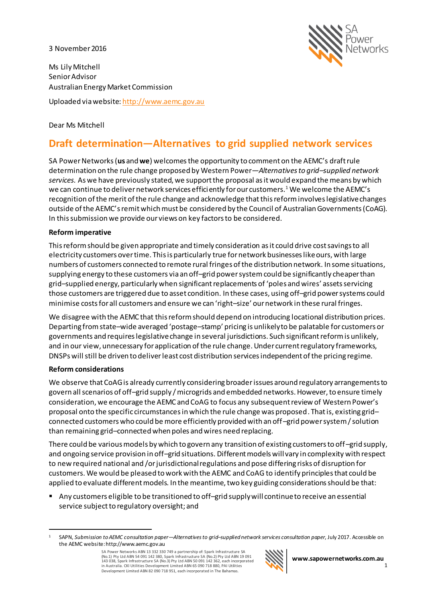#### 3 November 2016



Ms Lily Mitchell Senior Advisor Australian Energy Market Commission

Uploaded via website[: http://www.aemc.gov.au](http://www.aemc.gov.au/)

# Dear Ms Mitchell

# **Draft determination—Alternatives to grid supplied network services**

SA Power Networks (**us** and **we**) welcomesthe opportunity to comment on the AEMC's draft rule determination on the rule change proposed by Western Power—*Alternatives to grid–supplied network services.* As we have previously stated, we support the proposal as it would expand the means by which we can continue to deliver network services efficiently for our customers.<sup>1</sup> We welcome the AEMC's recognition of the merit of the rule change and acknowledge that this reform involves legislative changes outside of the AEMC's remit which must be considered by the Council of Australian Governments (CoAG). In this submission we provide our views on key factors to be considered.

### **Reform imperative**

This reform should be given appropriate and timely consideration as it could drive cost savings to all electricity customers over time. This is particularly true for network businesses like ours, with large numbers of customers connected to remote rural fringes of the distribution network. In some situations, supplying energy to these customers via an off–grid power systemcould be significantly cheaper than grid–supplied energy, particularly when significant replacements of 'poles and wires' assets servicing those customers are triggered due to asset condition. In these cases, using off–grid power systems could minimise costsfor all customers and ensure we can 'right–size' our network in these rural fringes.

We disagree with the AEMC that this reform should depend on introducing locational distribution prices. Departing from state–wide averaged 'postage–stamp' pricing is unlikely to be palatable for customers or governments and requireslegislative change in several jurisdictions. Such significant reform is unlikely, and in our view, unnecessary for application of the rule change. Under current regulatory frameworks, DNSPswillstill be driven to deliver least cost distribution servicesindependent of the pricing regime.

### **Reform considerations**

We observe that CoAG is already currently considering broader issues around regulatory arrangements to govern all scenarios of off–grid supply / microgrids and embedded networks. However, to ensure timely consideration, we encourage the AEMC and CoAG to focus any subsequent review of Western Power's proposal onto the specific circumstances in which the rule change was proposed. That is, existing grid– connected customers who could be more efficiently provided with an off–grid power system / solution than remaining grid–connected when poles and wires need replacing.

There could be various models by which to govern any transition of existing customers to off–grid supply, and ongoing service provision in off–grid situations. Different models will vary in complexity with respect to new required national and /or jurisdictional regulations and pose differing risks of disruption for customers. We would be pleased to work with the AEMC and CoAG to identify principles that could be applied to evaluate different models. In the meantime, two key guiding considerations should be that:

■ Any customers eligible to be transitioned to off-grid supply will continue to receive an essential service subject to regulatory oversight; and

SA Power Networks ABN 13 332 330 749 a partnership of: Spark Infrastructure SA (No.1) Pty Ltd ABN 54 091 142 380, Spark Infrastructure SA (No.2) Pty Ltd ABN 19 091<br>143 038, Spark Infrastructure SA (No.3) Pty Ltd ABN 50 091 142 362, each incorporated<br>in Australia. CKI Utilities Development Limited ABN Development Limited ABN 82 090 718 951, each incorporated in The Bahamas.



 $\overline{a}$ <sup>1</sup> SAPN, *Submission to AEMC consultation paper—Alternatives to grid–supplied network services consultation paper*, July 2017. Accessible on the AEMC website: http://www.aemc.gov.au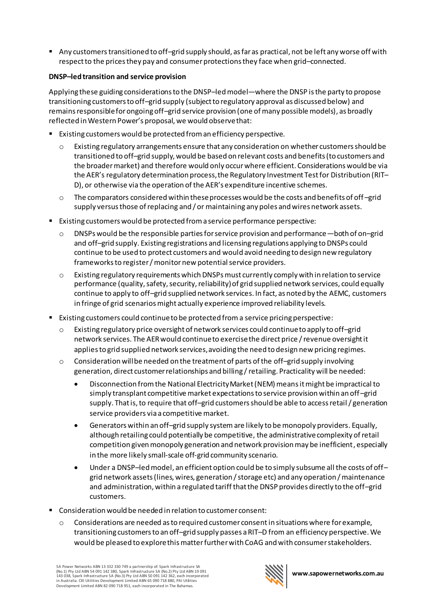■ Any customers transitioned to off–grid supply should, as far as practical, not be left any worse off with respect to the prices they pay and consumer protections they face when grid-connected.

# **DNSP–led transition and service provision**

Applying these guiding considerations to the DNSP–led model—where the DNSP is the party to propose transitioning customers to off–grid supply (subject to regulatory approval as discussed below) and remains responsible for ongoing off–grid service provision (one of many possible models), as broadly reflected in Western Power's proposal, we would observe that:

- Existing customers would be protected from an efficiency perspective.
	- $\circ$  Existing regulatory arrangements ensure that any consideration on whether customers should be transitioned to off–grid supply, would be based on relevant costs and benefits (to customers and the broader market) and therefore would only occurwhere efficient. Considerations would be via the AER's regulatory determination process, the Regulatory Investment Test for Distribution (RIT– D), or otherwise via the operation of the AER's expenditure incentive schemes.
	- $\circ$  The comparators considered within these processes would be the costs and benefits of off-grid supply versus those of replacing and / or maintaining any poles and wires network assets.
- Existing customers would be protected from a service performance perspective:
	- $\circ$  DNSPs would be the responsible parties for service provision and performance—both of on–grid and off–grid supply. Existing registrations and licensing regulations applying to DNSPs could continue to be used to protect customers and would avoid needing to design new regulatory frameworks to register / monitor new potential service providers.
	- $\circ$  Existing regulatory requirements which DNSPs must currently comply with in relation to service performance (quality, safety, security, reliability) of grid supplied network services, could equally continue to apply to off–grid supplied network services. In fact, as noted by the AEMC, customers in fringe of grid scenarios might actually experience improved reliability levels.
- Existing customers could continue to be protected from a service pricing perspective:
	- o Existing regulatory price oversight of network services could continue to apply to off–grid network services. The AER would continue to exercise the direct price / revenue oversight it applies to grid supplied network services, avoiding the need to design new pricing regimes.
	- o Consideration will be needed on the treatment of parts of the off–grid supply involving generation, direct customer relationships and billing / retailing. Practicality will be needed:
		- Disconnection from the National Electricity Market (NEM) meansit might be impractical to simply transplant competitive market expectations to service provision within an off–grid supply. That is, to require that off–grid customers should be able to access retail / generation service providers via a competitive market.
		- Generators within an off–grid supply system are likely to be monopoly providers. Equally, although retailing could potentially be competitive, the administrative complexity of retail competition given monopoly generation and network provision may be inefficient, especially in the more likely small-scale off-grid community scenario.
		- Under a DNSP-led model, an efficient option could be to simply subsume all the costs of offgrid network assets (lines, wires, generation / storage etc) and any operation / maintenance and administration, within a regulated tariff that the DNSP provides directly to the off–grid customers.
- Consideration would be needed in relation to customer consent:
	- $\circ$  Considerations are needed as to required customer consent in situations where for example, transitioning customers to an off–grid supply passes a RIT–D from an efficiency perspective. We would be pleased to explore this matter further with CoAG and with consumer stakeholders.